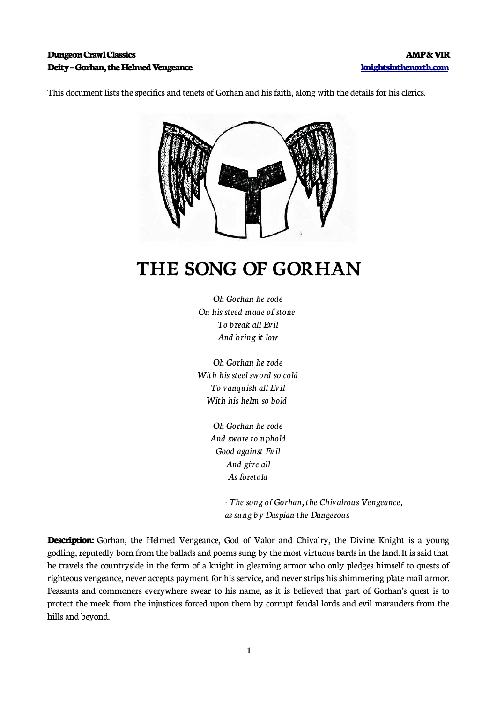### **Dungeon Crawl Classics AMP & VIR Deity – Gorhan, the Helmed Vengeance [knightsinthenorth.com](http://knightsinthenorth.com/)**

This document lists the specifics and tenets of Gorhan and his faith, along with the details for his clerics.



# **THE SONG OF GORHAN**

*Oh Gorhan he rode On his steed made of stone To break all Evil And bring it low*

*Oh Gorhan he rode With his steel sword so cold To vanquish all Evil With his helm so bold* 

> *Oh Gorhan he rode And swore to uphold Good against Evil And give all As foretold*

> > *- The song of Gorhan, the Chivalrous Vengeance, as sung by Daspian the Dangerous*

**Description:** Gorhan, the Helmed Vengeance, God of Valor and Chivalry, the Divine Knight is a young godling, reputedly born from the ballads and poems sung by the most virtuous bards in the land. It is said that he travels the countryside in the form of a knight in gleaming armor who only pledges himself to quests of righteous vengeance, never accepts payment for his service, and never strips his shimmering plate mail armor. Peasants and commoners everywhere swear to his name, as it is believed that part of Gorhan's quest is to protect the meek from the injustices forced upon them by corrupt feudal lords and evil marauders from the hills and beyond.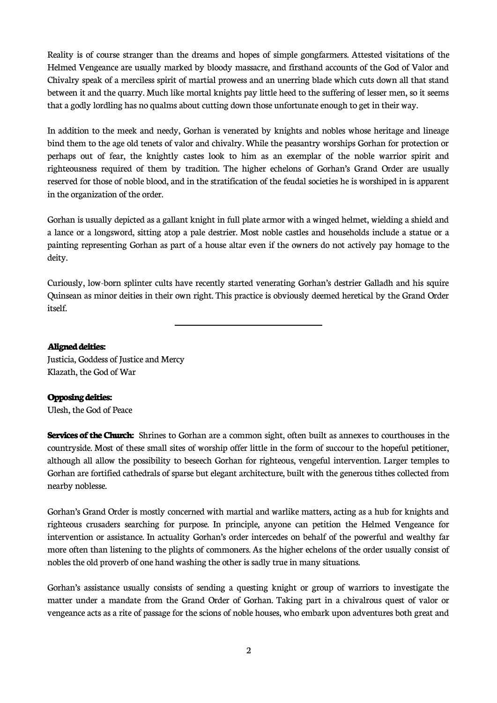Reality is of course stranger than the dreams and hopes of simple gongfarmers. Attested visitations of the Helmed Vengeance are usually marked by bloody massacre, and firsthand accounts of the God of Valor and Chivalry speak of a merciless spirit of martial prowess and an unerring blade which cuts down all that stand between it and the quarry. Much like mortal knights pay little heed to the suffering of lesser men, so it seems that a godly lordling has no qualms about cutting down those unfortunate enough to get in their way.

In addition to the meek and needy, Gorhan is venerated by knights and nobles whose heritage and lineage bind them to the age old tenets of valor and chivalry. While the peasantry worships Gorhan for protection or perhaps out of fear, the knightly castes look to him as an exemplar of the noble warrior spirit and righteousness required of them by tradition. The higher echelons of Gorhan's Grand Order are usually reserved for those of noble blood, and in the stratification of the feudal societies he is worshiped in is apparent in the organization of the order.

Gorhan is usually depicted as a gallant knight in full plate armor with a winged helmet, wielding a shield and a lance or a longsword, sitting atop a pale destrier. Most noble castles and households include a statue or a painting representing Gorhan as part of a house altar even if the owners do not actively pay homage to the deity.

Curiously, low-born splinter cults have recently started venerating Gorhan's destrier Galladh and his squire Quinsean as minor deities in their own right. This practice is obviously deemed heretical by the Grand Order itself.

#### **Aligned deities:**

Justicia, Goddess of Justice and Mercy Klazath, the God of War

 $\overline{\phantom{a}}$ 

#### **Opposing deities:**

Ulesh, the God of Peace

**Services of the Church:** Shrines to Gorhan are a common sight, often built as annexes to courthouses in the countryside. Most of these small sites of worship offer little in the form of succour to the hopeful petitioner, although all allow the possibility to beseech Gorhan for righteous, vengeful intervention. Larger temples to Gorhan are fortified cathedrals of sparse but elegant architecture, built with the generous tithes collected from nearby noblesse.

Gorhan's Grand Order is mostly concerned with martial and warlike matters, acting as a hub for knights and righteous crusaders searching for purpose. In principle, anyone can petition the Helmed Vengeance for intervention or assistance. In actuality Gorhan's order intercedes on behalf of the powerful and wealthy far more often than listening to the plights of commoners. As the higher echelons of the order usually consist of nobles the old proverb of one hand washing the other is sadly true in many situations.

Gorhan's assistance usually consists of sending a questing knight or group of warriors to investigate the matter under a mandate from the Grand Order of Gorhan. Taking part in a chivalrous quest of valor or vengeance acts as a rite of passage for the scions of noble houses, who embark upon adventures both great and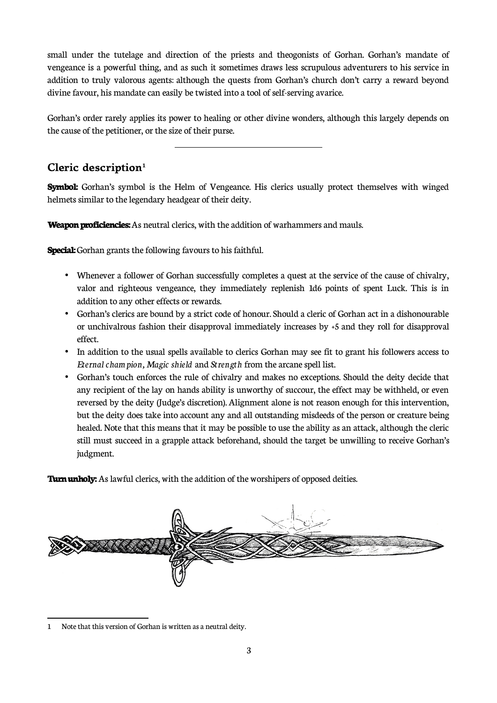small under the tutelage and direction of the priests and theogonists of Gorhan. Gorhan's mandate of vengeance is a powerful thing, and as such it sometimes draws less scrupulous adventurers to his service in addition to truly valorous agents: although the quests from Gorhan's church don't carry a reward beyond divine favour, his mandate can easily be twisted into a tool of self-serving avarice.

Gorhan's order rarely applies its power to healing or other divine wonders, although this largely depends on the cause of the petitioner, or the size of their purse.

 $\overline{a}$ 

## **Cleric description[1](#page-2-0)**

**Symbol:** Gorhan's symbol is the Helm of Vengeance. His clerics usually protect themselves with winged helmets similar to the legendary headgear of their deity.

**Weapon proficiencies:** As neutral clerics, with the addition of warhammers and mauls.

**Special:** Gorhan grants the following favours to his faithful.

- Whenever a follower of Gorhan successfully completes a quest at the service of the cause of chivalry, valor and righteous vengeance, they immediately replenish 1d6 points of spent Luck. This is in addition to any other effects or rewards.
- Gorhan's clerics are bound by a strict code of honour. Should a cleric of Gorhan act in a dishonourable or unchivalrous fashion their disapproval immediately increases by +5 and they roll for disapproval effect.
- In addition to the usual spells available to clerics Gorhan may see fit to grant his followers access to *Eternal champion, Magic shield* and *Strength* from the arcane spell list.
- Gorhan's touch enforces the rule of chivalry and makes no exceptions. Should the deity decide that any recipient of the lay on hands ability is unworthy of succour, the effect may be withheld, or even reversed by the deity (Judge's discretion). Alignment alone is not reason enough for this intervention, but the deity does take into account any and all outstanding misdeeds of the person or creature being healed. Note that this means that it may be possible to use the ability as an attack, although the cleric still must succeed in a grapple attack beforehand, should the target be unwilling to receive Gorhan's judgment.

**Turn unholy:** As lawful clerics, with the addition of the worshipers of opposed deities.

<span id="page-2-0"></span>

<sup>1</sup> Note that this version of Gorhan is written as a neutral deity.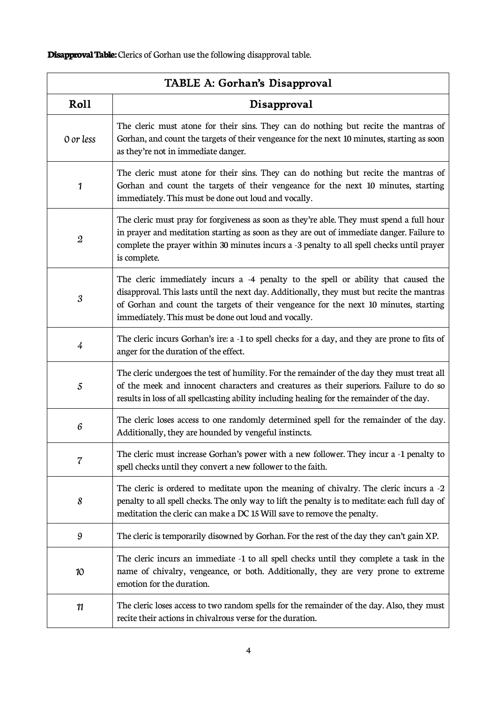**Disapproval Table:** Clerics of Gorhan use the following disapproval table.

| TABLE A: Gorhan's Disapproval |                                                                                                                                                                                                                                                                                                                                  |  |
|-------------------------------|----------------------------------------------------------------------------------------------------------------------------------------------------------------------------------------------------------------------------------------------------------------------------------------------------------------------------------|--|
| Roll                          | Disapproval                                                                                                                                                                                                                                                                                                                      |  |
| 0 or less                     | The cleric must atone for their sins. They can do nothing but recite the mantras of<br>Gorhan, and count the targets of their vengeance for the next 10 minutes, starting as soon<br>as they're not in immediate danger.                                                                                                         |  |
| 1                             | The cleric must atone for their sins. They can do nothing but recite the mantras of<br>Gorhan and count the targets of their vengeance for the next 10 minutes, starting<br>immediately. This must be done out loud and vocally.                                                                                                 |  |
| $\boldsymbol{2}$              | The cleric must pray for forgiveness as soon as they're able. They must spend a full hour<br>in prayer and meditation starting as soon as they are out of immediate danger. Failure to<br>complete the prayer within 30 minutes incurs a -3 penalty to all spell checks until prayer<br>is complete.                             |  |
| $\boldsymbol{\mathcal{S}}$    | The cleric immediately incurs a -4 penalty to the spell or ability that caused the<br>disapproval. This lasts until the next day. Additionally, they must but recite the mantras<br>of Gorhan and count the targets of their vengeance for the next 10 minutes, starting<br>immediately. This must be done out loud and vocally. |  |
| $\overline{4}$                | The cleric incurs Gorhan's ire: a -1 to spell checks for a day, and they are prone to fits of<br>anger for the duration of the effect.                                                                                                                                                                                           |  |
| $\sqrt{5}$                    | The cleric undergoes the test of humility. For the remainder of the day they must treat all<br>of the meek and innocent characters and creatures as their superiors. Failure to do so<br>results in loss of all spellcasting ability including healing for the remainder of the day.                                             |  |
| $\boldsymbol{6}$              | The cleric loses access to one randomly determined spell for the remainder of the day.<br>Additionally, they are hounded by vengeful instincts.                                                                                                                                                                                  |  |
| 7                             | The cleric must increase Gorhan's power with a new follower. They incur a -1 penalty to<br>spell checks until they convert a new follower to the faith.                                                                                                                                                                          |  |
| 8                             | The cleric is ordered to meditate upon the meaning of chivalry. The cleric incurs a -2<br>penalty to all spell checks. The only way to lift the penalty is to meditate: each full day of<br>meditation the cleric can make a DC 15 Will save to remove the penalty.                                                              |  |
| 9                             | The cleric is temporarily disowned by Gorhan. For the rest of the day they can't gain XP.                                                                                                                                                                                                                                        |  |
| 10                            | The cleric incurs an immediate -1 to all spell checks until they complete a task in the<br>name of chivalry, vengeance, or both. Additionally, they are very prone to extreme<br>emotion for the duration.                                                                                                                       |  |
| 11                            | The cleric loses access to two random spells for the remainder of the day. Also, they must<br>recite their actions in chivalrous verse for the duration.                                                                                                                                                                         |  |